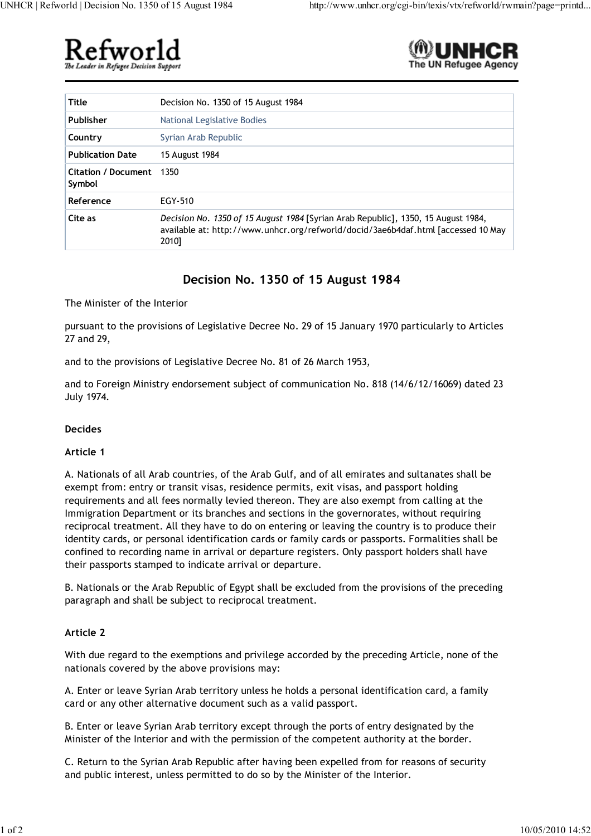



| Title                                | Decision No. 1350 of 15 August 1984                                                                                                                                             |
|--------------------------------------|---------------------------------------------------------------------------------------------------------------------------------------------------------------------------------|
| Publisher                            | National Legislative Bodies                                                                                                                                                     |
| Country                              | Syrian Arab Republic                                                                                                                                                            |
| <b>Publication Date</b>              | 15 August 1984                                                                                                                                                                  |
| <b>Citation / Document</b><br>Symbol | 1350                                                                                                                                                                            |
| Reference                            | EGY-510                                                                                                                                                                         |
| Cite as                              | Decision No. 1350 of 15 August 1984 [Syrian Arab Republic], 1350, 15 August 1984,<br>available at: http://www.unhcr.org/refworld/docid/3ae6b4daf.html [accessed 10 May<br>2010] |

# **Decision No. 1350 of 15 August 1984**

The Minister of the Interior

pursuant to the provisions of Legislative Decree No. 29 of 15 January 1970 particularly to Articles 27 and 29,

and to the provisions of Legislative Decree No. 81 of 26 March 1953,

and to Foreign Ministry endorsement subject of communication No. 818 (14/6/12/16069) dated 23 July 1974.

# **Decides**

#### **Article 1**

A. Nationals of all Arab countries, of the Arab Gulf, and of all emirates and sultanates shall be exempt from: entry or transit visas, residence permits, exit visas, and passport holding requirements and all fees normally levied thereon. They are also exempt from calling at the Immigration Department or its branches and sections in the governorates, without requiring reciprocal treatment. All they have to do on entering or leaving the country is to produce their identity cards, or personal identification cards or family cards or passports. Formalities shall be confined to recording name in arrival or departure registers. Only passport holders shall have their passports stamped to indicate arrival or departure.

B. Nationals or the Arab Republic of Egypt shall be excluded from the provisions of the preceding paragraph and shall be subject to reciprocal treatment.

# **Article 2**

With due regard to the exemptions and privilege accorded by the preceding Article, none of the nationals covered by the above provisions may:

A. Enter or leave Syrian Arab territory unless he holds a personal identification card, a family card or any other alternative document such as a valid passport.

B. Enter or leave Syrian Arab territory except through the ports of entry designated by the Minister of the Interior and with the permission of the competent authority at the border.

C. Return to the Syrian Arab Republic after having been expelled from for reasons of security and public interest, unless permitted to do so by the Minister of the Interior.